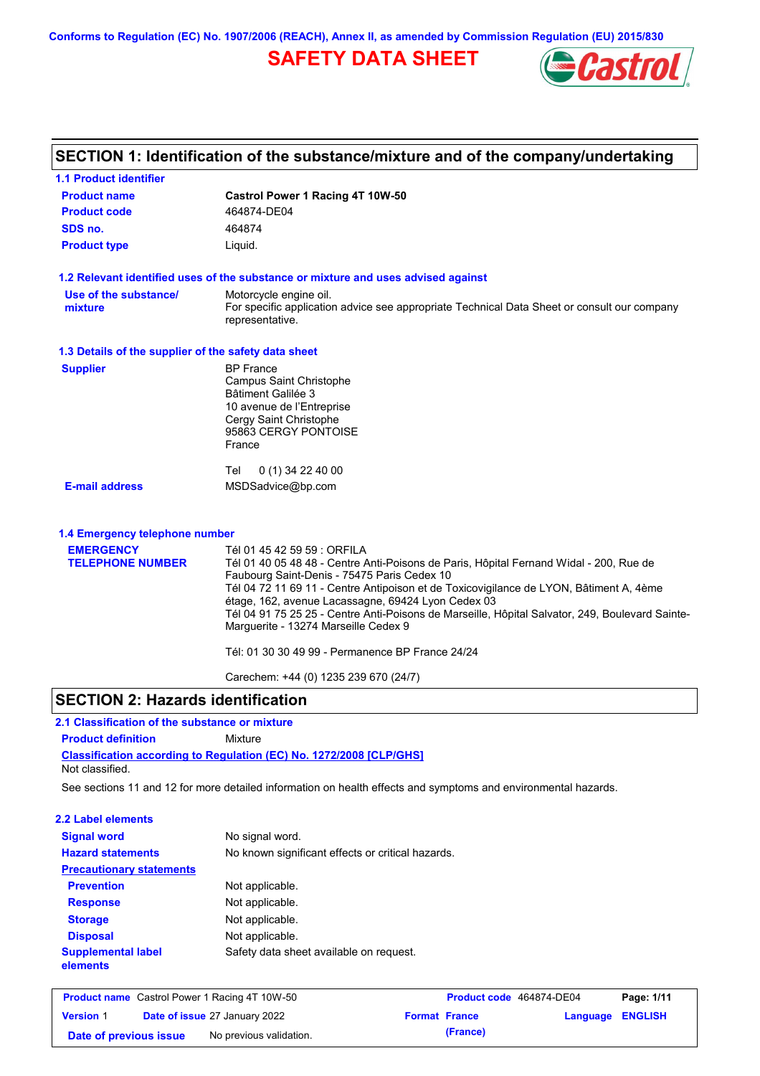**Conforms to Regulation (EC) No. 1907/2006 (REACH), Annex II, as amended by Commission Regulation (EU) 2015/830**

# **SAFETY DATA SHEET**



|                                                      | SECTION 1: Identification of the substance/mixture and of the company/undertaking                                                                     |
|------------------------------------------------------|-------------------------------------------------------------------------------------------------------------------------------------------------------|
| <b>1.1 Product identifier</b>                        |                                                                                                                                                       |
| <b>Product name</b>                                  | Castrol Power 1 Racing 4T 10W-50                                                                                                                      |
| <b>Product code</b>                                  | 464874-DE04                                                                                                                                           |
| SDS no.                                              | 464874                                                                                                                                                |
| <b>Product type</b>                                  | Liquid.                                                                                                                                               |
|                                                      | 1.2 Relevant identified uses of the substance or mixture and uses advised against                                                                     |
| Use of the substance/                                | Motorcycle engine oil.                                                                                                                                |
| mixture                                              | For specific application advice see appropriate Technical Data Sheet or consult our company<br>representative.                                        |
| 1.3 Details of the supplier of the safety data sheet |                                                                                                                                                       |
| <b>Supplier</b>                                      | <b>BP</b> France                                                                                                                                      |
|                                                      | Campus Saint Christophe<br>Bâtiment Galilée 3                                                                                                         |
|                                                      | 10 avenue de l'Entreprise                                                                                                                             |
|                                                      | Cergy Saint Christophe                                                                                                                                |
|                                                      | 95863 CERGY PONTOISE                                                                                                                                  |
|                                                      | France                                                                                                                                                |
|                                                      | 0 (1) 34 22 40 00<br>Tel                                                                                                                              |
| <b>E-mail address</b>                                | MSDSadvice@bp.com                                                                                                                                     |
| 1.4 Emergency telephone number                       |                                                                                                                                                       |
| <b>EMERGENCY</b>                                     | Tél 01 45 42 59 59 : ORFILA                                                                                                                           |
| <b>TELEPHONE NUMBER</b>                              | Tél 01 40 05 48 48 - Centre Anti-Poisons de Paris, Hôpital Fernand Widal - 200, Rue de                                                                |
|                                                      | Faubourg Saint-Denis - 75475 Paris Cedex 10                                                                                                           |
|                                                      | Tél 04 72 11 69 11 - Centre Antipoison et de Toxicovigilance de LYON, Bâtiment A, 4ème                                                                |
|                                                      | étage, 162, avenue Lacassagne, 69424 Lyon Cedex 03<br>Tél 04 91 75 25 25 - Centre Anti-Poisons de Marseille, Hôpital Salvator, 249, Boulevard Sainte- |
|                                                      | Marguerite - 13274 Marseille Cedex 9                                                                                                                  |
|                                                      | Tél: 01 30 30 49 99 - Permanence BP France 24/24                                                                                                      |
|                                                      | Carechem: +44 (0) 1235 239 670 (24/7)                                                                                                                 |

## **SECTION 2: Hazards identification**

## **2.1 Classification of the substance or mixture**

**Product definition** Mixture

**Classification according to Regulation (EC) No. 1272/2008 [CLP/GHS]** Not classified.

See sections 11 and 12 for more detailed information on health effects and symptoms and environmental hazards.

### **2.2 Label elements**

| <b>Signal word</b><br><b>Hazard statements</b> | No signal word.<br>No known significant effects or critical hazards. |
|------------------------------------------------|----------------------------------------------------------------------|
| <b>Precautionary statements</b>                |                                                                      |
| <b>Prevention</b>                              | Not applicable.                                                      |
| <b>Response</b>                                | Not applicable.                                                      |
| <b>Storage</b>                                 | Not applicable.                                                      |
| <b>Disposal</b>                                | Not applicable.                                                      |
| <b>Supplemental label</b><br>elements          | Safety data sheet available on request.                              |

| <b>Product name</b> Castrol Power 1 Racing 4T 10W-50 |  |                                      | <b>Product code</b> 464874-DE04 |                      | Page: 1/11              |  |
|------------------------------------------------------|--|--------------------------------------|---------------------------------|----------------------|-------------------------|--|
| <b>Version 1</b>                                     |  | <b>Date of issue 27 January 2022</b> |                                 | <b>Format France</b> | <b>Language ENGLISH</b> |  |
| Date of previous issue                               |  | No previous validation.              |                                 | (France)             |                         |  |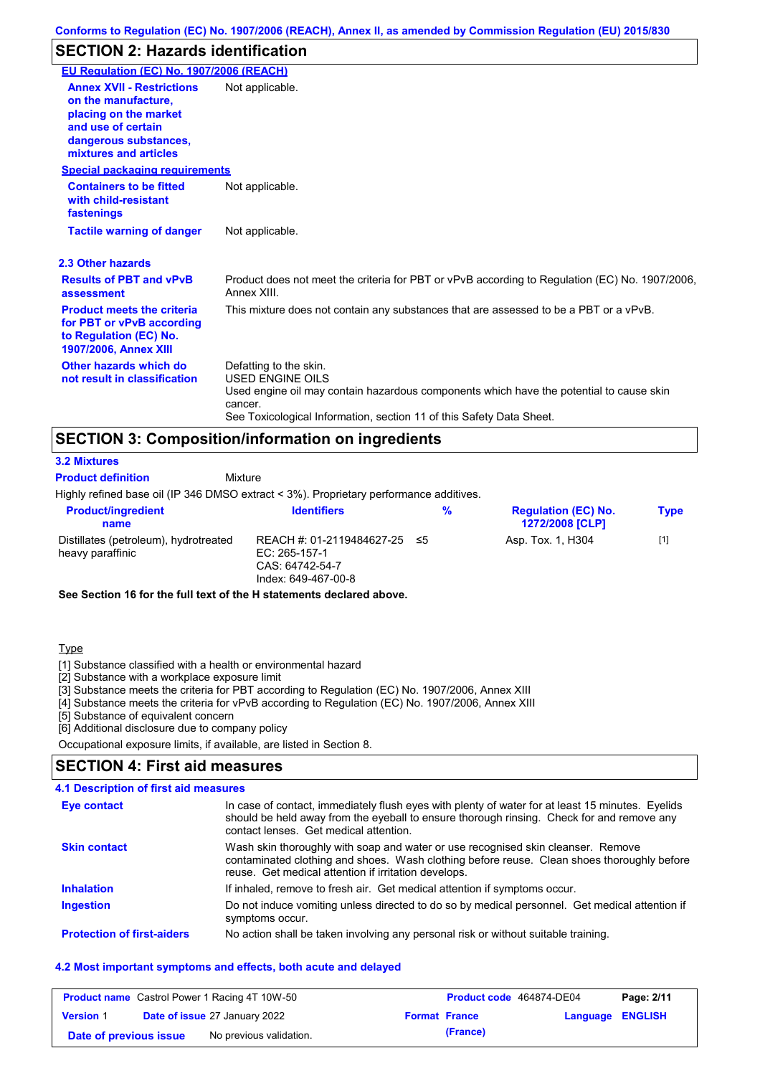## **SECTION 2: Hazards identification**

| EU Regulation (EC) No. 1907/2006 (REACH)                                                                                                                 |                                                                                                                                                                                                                                 |
|----------------------------------------------------------------------------------------------------------------------------------------------------------|---------------------------------------------------------------------------------------------------------------------------------------------------------------------------------------------------------------------------------|
| <b>Annex XVII - Restrictions</b><br>on the manufacture,<br>placing on the market<br>and use of certain<br>dangerous substances,<br>mixtures and articles | Not applicable.                                                                                                                                                                                                                 |
| <b>Special packaging requirements</b>                                                                                                                    |                                                                                                                                                                                                                                 |
| <b>Containers to be fitted</b><br>with child-resistant<br>fastenings                                                                                     | Not applicable.                                                                                                                                                                                                                 |
| <b>Tactile warning of danger</b>                                                                                                                         | Not applicable.                                                                                                                                                                                                                 |
| 2.3 Other hazards                                                                                                                                        |                                                                                                                                                                                                                                 |
| <b>Results of PBT and vPvB</b><br>assessment                                                                                                             | Product does not meet the criteria for PBT or vPvB according to Regulation (EC) No. 1907/2006,<br>Annex XIII.                                                                                                                   |
| <b>Product meets the criteria</b><br>for PBT or vPvB according<br>to Regulation (EC) No.<br><b>1907/2006, Annex XIII</b>                                 | This mixture does not contain any substances that are assessed to be a PBT or a vPvB.                                                                                                                                           |
| Other hazards which do<br>not result in classification                                                                                                   | Defatting to the skin.<br><b>USED ENGINE OILS</b><br>Used engine oil may contain hazardous components which have the potential to cause skin<br>cancer.<br>See Toxicological Information, section 11 of this Safety Data Sheet. |

## **SECTION 3: Composition/information on ingredients**

**Mixture** 

#### **3.2 Mixtures**

**Product definition**

Highly refined base oil (IP 346 DMSO extract < 3%). Proprietary performance additives.

| <b>Product/ingredient</b><br>name                         | <b>Identifiers</b>                                                                      | % | <b>Regulation (EC) No.</b><br><b>1272/2008 [CLP]</b> | <b>Type</b> |
|-----------------------------------------------------------|-----------------------------------------------------------------------------------------|---|------------------------------------------------------|-------------|
| Distillates (petroleum), hydrotreated<br>heavy paraffinic | REACH #: 01-2119484627-25 ≤5<br>EC: 265-157-1<br>CAS: 64742-54-7<br>Index: 649-467-00-8 |   | Asp. Tox. 1, H304                                    | $[1]$       |

**See Section 16 for the full text of the H statements declared above.**

### **Type**

[1] Substance classified with a health or environmental hazard

[2] Substance with a workplace exposure limit

[3] Substance meets the criteria for PBT according to Regulation (EC) No. 1907/2006, Annex XIII

[4] Substance meets the criteria for vPvB according to Regulation (EC) No. 1907/2006, Annex XIII

[5] Substance of equivalent concern

[6] Additional disclosure due to company policy

Occupational exposure limits, if available, are listed in Section 8.

## **SECTION 4: First aid measures**

### **4.1 Description of first aid measures**

| Eye contact                       | In case of contact, immediately flush eyes with plenty of water for at least 15 minutes. Eyelids<br>should be held away from the eyeball to ensure thorough rinsing. Check for and remove any<br>contact lenses. Get medical attention. |
|-----------------------------------|-----------------------------------------------------------------------------------------------------------------------------------------------------------------------------------------------------------------------------------------|
| <b>Skin contact</b>               | Wash skin thoroughly with soap and water or use recognised skin cleanser. Remove<br>contaminated clothing and shoes. Wash clothing before reuse. Clean shoes thoroughly before<br>reuse. Get medical attention if irritation develops.  |
| <b>Inhalation</b>                 | If inhaled, remove to fresh air. Get medical attention if symptoms occur.                                                                                                                                                               |
| <b>Ingestion</b>                  | Do not induce vomiting unless directed to do so by medical personnel. Get medical attention if<br>symptoms occur.                                                                                                                       |
| <b>Protection of first-aiders</b> | No action shall be taken involving any personal risk or without suitable training.                                                                                                                                                      |

### **4.2 Most important symptoms and effects, both acute and delayed**

| <b>Product name</b> Castrol Power 1 Racing 4T 10W-50 |  |                                      | Product code 464874-DE04 |          | Page: 2/11       |  |
|------------------------------------------------------|--|--------------------------------------|--------------------------|----------|------------------|--|
| <b>Version 1</b>                                     |  | <b>Date of issue 27 January 2022</b> | <b>Format France</b>     |          | Language ENGLISH |  |
| Date of previous issue                               |  | No previous validation.              |                          | (France) |                  |  |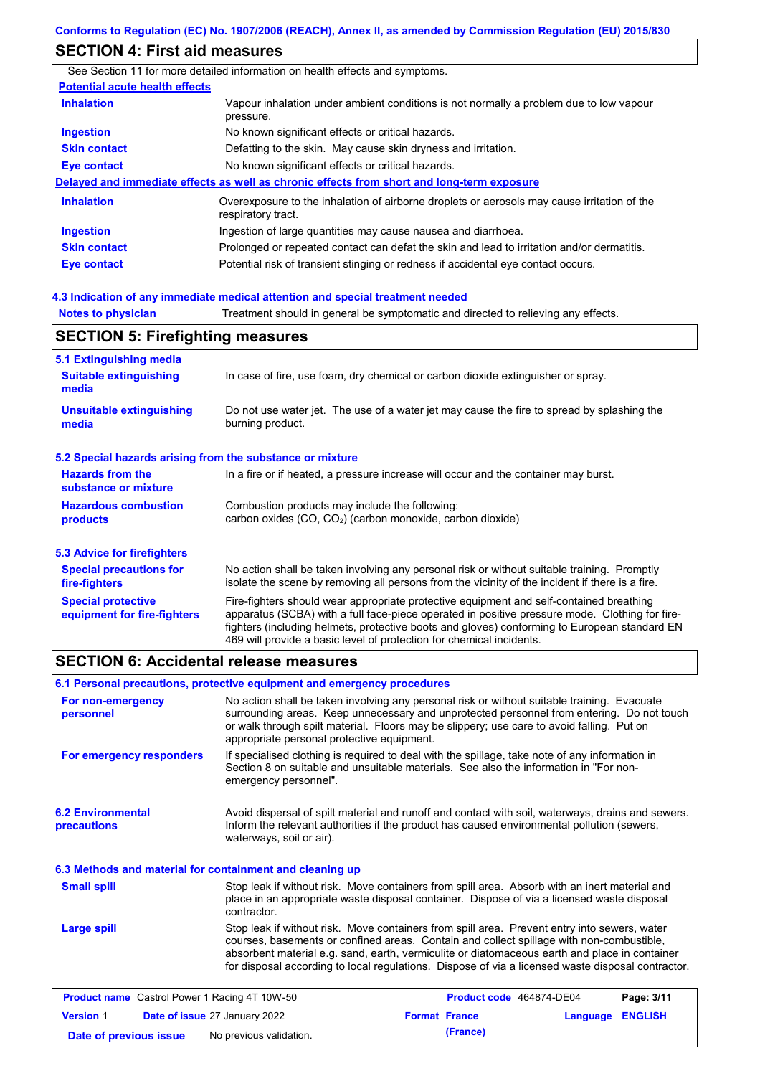# **SECTION 4: First aid measures**

|                                       | See Section 11 for more detailed information on health effects and symptoms.                                      |
|---------------------------------------|-------------------------------------------------------------------------------------------------------------------|
| <b>Potential acute health effects</b> |                                                                                                                   |
| <b>Inhalation</b>                     | Vapour inhalation under ambient conditions is not normally a problem due to low vapour<br>pressure.               |
| <b>Ingestion</b>                      | No known significant effects or critical hazards.                                                                 |
| <b>Skin contact</b>                   | Defatting to the skin. May cause skin dryness and irritation.                                                     |
| Eye contact                           | No known significant effects or critical hazards.                                                                 |
|                                       | Delayed and immediate effects as well as chronic effects from short and long-term exposure                        |
| <b>Inhalation</b>                     | Overexposure to the inhalation of airborne droplets or aerosols may cause irritation of the<br>respiratory tract. |
| <b>Ingestion</b>                      | Ingestion of large quantities may cause nausea and diarrhoea.                                                     |
| <b>Skin contact</b>                   | Prolonged or repeated contact can defat the skin and lead to irritation and/or dermatitis.                        |
| Eye contact                           | Potential risk of transient stinging or redness if accidental eye contact occurs.                                 |
|                                       |                                                                                                                   |

### **4.3 Indication of any immediate medical attention and special treatment needed**

**Notes to physician** Treatment should in general be symptomatic and directed to relieving any effects.

## **SECTION 5: Firefighting measures**

| 5.1 Extinguishing media                                   |                                                                                                                                                                                                                                                                                                                                                                   |
|-----------------------------------------------------------|-------------------------------------------------------------------------------------------------------------------------------------------------------------------------------------------------------------------------------------------------------------------------------------------------------------------------------------------------------------------|
| <b>Suitable extinguishing</b><br>media                    | In case of fire, use foam, dry chemical or carbon dioxide extinguisher or spray.                                                                                                                                                                                                                                                                                  |
| <b>Unsuitable extinguishing</b><br>media                  | Do not use water jet. The use of a water jet may cause the fire to spread by splashing the<br>burning product.                                                                                                                                                                                                                                                    |
| 5.2 Special hazards arising from the substance or mixture |                                                                                                                                                                                                                                                                                                                                                                   |
| <b>Hazards from the</b><br>substance or mixture           | In a fire or if heated, a pressure increase will occur and the container may burst.                                                                                                                                                                                                                                                                               |
| <b>Hazardous combustion</b><br>products                   | Combustion products may include the following:<br>carbon oxides $(CO, CO2)$ (carbon monoxide, carbon dioxide)                                                                                                                                                                                                                                                     |
| 5.3 Advice for firefighters                               |                                                                                                                                                                                                                                                                                                                                                                   |
| <b>Special precautions for</b><br>fire-fighters           | No action shall be taken involving any personal risk or without suitable training. Promptly<br>isolate the scene by removing all persons from the vicinity of the incident if there is a fire.                                                                                                                                                                    |
| <b>Special protective</b><br>equipment for fire-fighters  | Fire-fighters should wear appropriate protective equipment and self-contained breathing<br>apparatus (SCBA) with a full face-piece operated in positive pressure mode. Clothing for fire-<br>fighters (including helmets, protective boots and gloves) conforming to European standard EN<br>469 will provide a basic level of protection for chemical incidents. |

### **SECTION 6: Accidental release measures**

|                                                          | 6.1 Personal precautions, protective equipment and emergency procedures |                                                                                                                                                                                                                                                                                                                                                                                                |                   |
|----------------------------------------------------------|-------------------------------------------------------------------------|------------------------------------------------------------------------------------------------------------------------------------------------------------------------------------------------------------------------------------------------------------------------------------------------------------------------------------------------------------------------------------------------|-------------------|
| For non-emergency<br>personnel                           | appropriate personal protective equipment.                              | No action shall be taken involving any personal risk or without suitable training. Evacuate<br>surrounding areas. Keep unnecessary and unprotected personnel from entering. Do not touch<br>or walk through spilt material. Floors may be slippery; use care to avoid falling. Put on                                                                                                          |                   |
| For emergency responders                                 | emergency personnel".                                                   | If specialised clothing is required to deal with the spillage, take note of any information in<br>Section 8 on suitable and unsuitable materials. See also the information in "For non-                                                                                                                                                                                                        |                   |
| <b>6.2 Environmental</b><br>precautions                  | waterways, soil or air).                                                | Avoid dispersal of spilt material and runoff and contact with soil, waterways, drains and sewers.<br>Inform the relevant authorities if the product has caused environmental pollution (sewers,                                                                                                                                                                                                |                   |
| 6.3 Methods and material for containment and cleaning up |                                                                         |                                                                                                                                                                                                                                                                                                                                                                                                |                   |
| <b>Small spill</b>                                       | contractor.                                                             | Stop leak if without risk. Move containers from spill area. Absorb with an inert material and<br>place in an appropriate waste disposal container. Dispose of via a licensed waste disposal                                                                                                                                                                                                    |                   |
| <b>Large spill</b>                                       |                                                                         | Stop leak if without risk. Move containers from spill area. Prevent entry into sewers, water<br>courses, basements or confined areas. Contain and collect spillage with non-combustible,<br>absorbent material e.g. sand, earth, vermiculite or diatomaceous earth and place in container<br>for disposal according to local regulations. Dispose of via a licensed waste disposal contractor. |                   |
| <b>Droduct name</b> Castrol Dower 1 Daeing 4T 10M EQ     |                                                                         | <b>Droduct code</b> 464974 DE04                                                                                                                                                                                                                                                                                                                                                                | <b>Dago: 2/44</b> |

|                        | <b>Product name</b> Castrol Power 1 Racing 4T 10W-50 |                      | Product code 464874-DE04 |                  | Page: 3/11 |
|------------------------|------------------------------------------------------|----------------------|--------------------------|------------------|------------|
| <b>Version 1</b>       | <b>Date of issue 27 January 2022</b>                 | <b>Format France</b> |                          | Language ENGLISH |            |
| Date of previous issue | No previous validation.                              |                      | (France)                 |                  |            |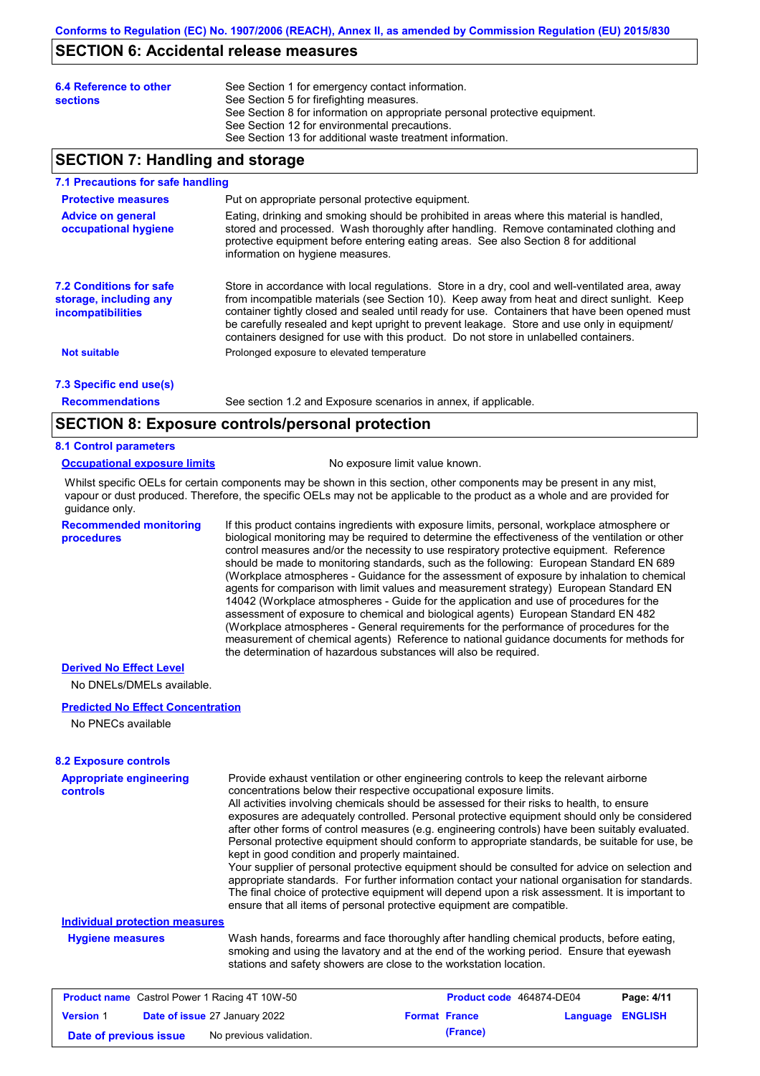### **SECTION 6: Accidental release measures**

| 6.4 Reference to other<br><b>sections</b> | See Section 1 for emergency contact information.<br>See Section 5 for firefighting measures.<br>See Section 8 for information on appropriate personal protective equipment.<br>See Section 12 for environmental precautions.<br>See Section 13 for additional waste treatment information. |
|-------------------------------------------|--------------------------------------------------------------------------------------------------------------------------------------------------------------------------------------------------------------------------------------------------------------------------------------------|
|-------------------------------------------|--------------------------------------------------------------------------------------------------------------------------------------------------------------------------------------------------------------------------------------------------------------------------------------------|

## **SECTION 7: Handling and storage**

### **7.1 Precautions for safe handling**

| <b>Protective measures</b>                                                           | Put on appropriate personal protective equipment.                                                                                                                                                                                                                                                                                                                                                                                                                                        |
|--------------------------------------------------------------------------------------|------------------------------------------------------------------------------------------------------------------------------------------------------------------------------------------------------------------------------------------------------------------------------------------------------------------------------------------------------------------------------------------------------------------------------------------------------------------------------------------|
| <b>Advice on general</b><br>occupational hygiene                                     | Eating, drinking and smoking should be prohibited in areas where this material is handled,<br>stored and processed. Wash thoroughly after handling. Remove contaminated clothing and<br>protective equipment before entering eating areas. See also Section 8 for additional<br>information on hygiene measures.                                                                                                                                                                         |
| <b>7.2 Conditions for safe</b><br>storage, including any<br><b>incompatibilities</b> | Store in accordance with local regulations. Store in a dry, cool and well-ventilated area, away<br>from incompatible materials (see Section 10). Keep away from heat and direct sunlight. Keep<br>container tightly closed and sealed until ready for use. Containers that have been opened must<br>be carefully resealed and kept upright to prevent leakage. Store and use only in equipment/<br>containers designed for use with this product. Do not store in unlabelled containers. |
| <b>Not suitable</b>                                                                  | Prolonged exposure to elevated temperature                                                                                                                                                                                                                                                                                                                                                                                                                                               |
| 7.3 Specific end use(s)                                                              |                                                                                                                                                                                                                                                                                                                                                                                                                                                                                          |

**Recommendations**

See section 1.2 and Exposure scenarios in annex, if applicable.

## **SECTION 8: Exposure controls/personal protection**

### **8.1 Control parameters**

#### **Occupational exposure limits** No exposure limit value known.

Whilst specific OELs for certain components may be shown in this section, other components may be present in any mist, vapour or dust produced. Therefore, the specific OELs may not be applicable to the product as a whole and are provided for guidance only.

**Recommended monitoring procedures** If this product contains ingredients with exposure limits, personal, workplace atmosphere or biological monitoring may be required to determine the effectiveness of the ventilation or other control measures and/or the necessity to use respiratory protective equipment. Reference should be made to monitoring standards, such as the following: European Standard EN 689 (Workplace atmospheres - Guidance for the assessment of exposure by inhalation to chemical agents for comparison with limit values and measurement strategy) European Standard EN 14042 (Workplace atmospheres - Guide for the application and use of procedures for the assessment of exposure to chemical and biological agents) European Standard EN 482 (Workplace atmospheres - General requirements for the performance of procedures for the measurement of chemical agents) Reference to national guidance documents for methods for the determination of hazardous substances will also be required.

#### **Derived No Effect Level**

No DNELs/DMELs available.

### **Predicted No Effect Concentration**

No PNECs available

### **8.2 Exposure controls**

| <b>Appropriate engineering</b>                       | Provide exhaust ventilation or other engineering controls to keep the relevant airborne                                                                                                                                                                     |                                 |            |
|------------------------------------------------------|-------------------------------------------------------------------------------------------------------------------------------------------------------------------------------------------------------------------------------------------------------------|---------------------------------|------------|
| <b>controls</b>                                      | concentrations below their respective occupational exposure limits.                                                                                                                                                                                         |                                 |            |
|                                                      | All activities involving chemicals should be assessed for their risks to health, to ensure                                                                                                                                                                  |                                 |            |
|                                                      | exposures are adequately controlled. Personal protective equipment should only be considered                                                                                                                                                                |                                 |            |
|                                                      | after other forms of control measures (e.g. engineering controls) have been suitably evaluated.                                                                                                                                                             |                                 |            |
|                                                      | Personal protective equipment should conform to appropriate standards, be suitable for use, be<br>kept in good condition and properly maintained.                                                                                                           |                                 |            |
|                                                      | Your supplier of personal protective equipment should be consulted for advice on selection and                                                                                                                                                              |                                 |            |
|                                                      | appropriate standards. For further information contact your national organisation for standards.                                                                                                                                                            |                                 |            |
|                                                      | The final choice of protective equipment will depend upon a risk assessment. It is important to                                                                                                                                                             |                                 |            |
|                                                      | ensure that all items of personal protective equipment are compatible.                                                                                                                                                                                      |                                 |            |
| <b>Individual protection measures</b>                |                                                                                                                                                                                                                                                             |                                 |            |
| <b>Hygiene measures</b>                              | Wash hands, forearms and face thoroughly after handling chemical products, before eating,<br>smoking and using the lavatory and at the end of the working period. Ensure that eyewash<br>stations and safety showers are close to the workstation location. |                                 |            |
|                                                      |                                                                                                                                                                                                                                                             |                                 |            |
| <b>Product name</b> Castrol Power 1 Racing 4T 10W-50 |                                                                                                                                                                                                                                                             | <b>Product code</b> 464874-DE04 | Page: 4/11 |

|                        | <b>Product hame</b> Castrol Power 1 Racing 41 10W-50 |                      | <b>Product code</b> 464874-DE04 | Page: 4/11 |
|------------------------|------------------------------------------------------|----------------------|---------------------------------|------------|
| <b>Version 1</b>       | Date of issue 27 January 2022                        | <b>Format France</b> | <b>Language ENGLISH</b>         |            |
| Date of previous issue | No previous validation.                              | (France)             |                                 |            |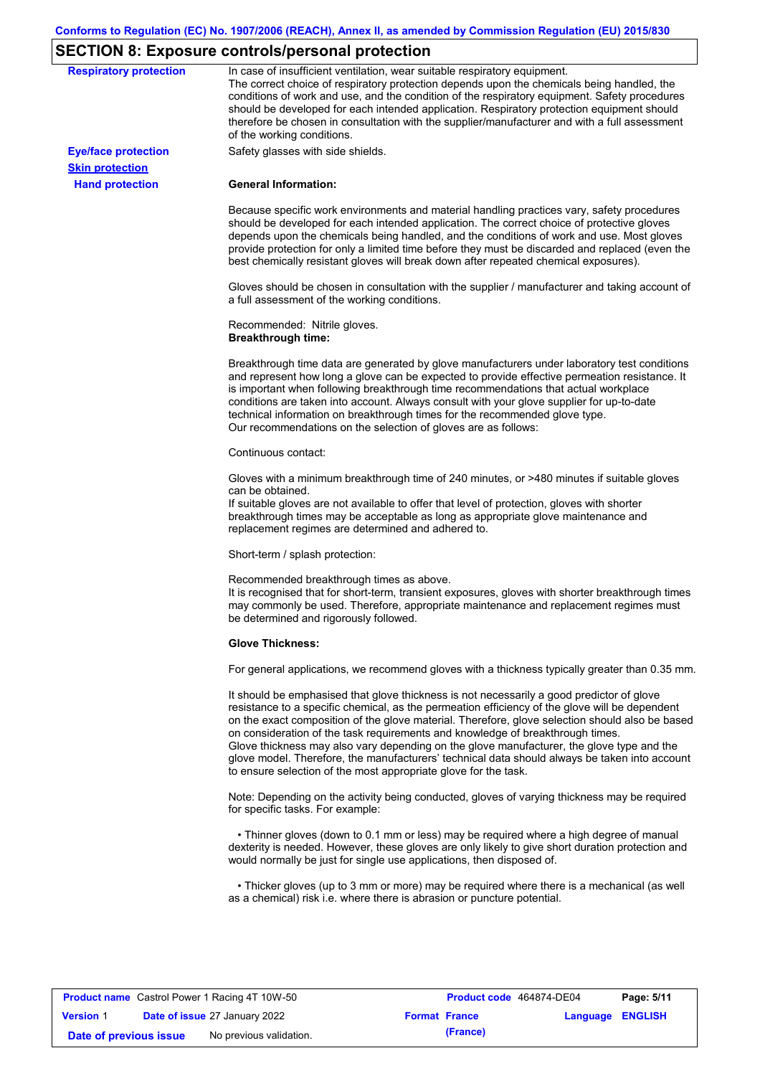# **SECTION 8: Exposure controls/personal protection**

| <b>Respiratory protection</b>                        | In case of insufficient ventilation, wear suitable respiratory equipment.<br>The correct choice of respiratory protection depends upon the chemicals being handled, the<br>conditions of work and use, and the condition of the respiratory equipment. Safety procedures<br>should be developed for each intended application. Respiratory protection equipment should<br>therefore be chosen in consultation with the supplier/manufacturer and with a full assessment<br>of the working conditions.                                                                                                                                             |
|------------------------------------------------------|---------------------------------------------------------------------------------------------------------------------------------------------------------------------------------------------------------------------------------------------------------------------------------------------------------------------------------------------------------------------------------------------------------------------------------------------------------------------------------------------------------------------------------------------------------------------------------------------------------------------------------------------------|
| <b>Eye/face protection</b><br><b>Skin protection</b> | Safety glasses with side shields.                                                                                                                                                                                                                                                                                                                                                                                                                                                                                                                                                                                                                 |
| <b>Hand protection</b>                               | <b>General Information:</b>                                                                                                                                                                                                                                                                                                                                                                                                                                                                                                                                                                                                                       |
|                                                      | Because specific work environments and material handling practices vary, safety procedures<br>should be developed for each intended application. The correct choice of protective gloves<br>depends upon the chemicals being handled, and the conditions of work and use. Most gloves<br>provide protection for only a limited time before they must be discarded and replaced (even the<br>best chemically resistant gloves will break down after repeated chemical exposures).                                                                                                                                                                  |
|                                                      | Gloves should be chosen in consultation with the supplier / manufacturer and taking account of<br>a full assessment of the working conditions.                                                                                                                                                                                                                                                                                                                                                                                                                                                                                                    |
|                                                      | Recommended: Nitrile gloves.<br><b>Breakthrough time:</b>                                                                                                                                                                                                                                                                                                                                                                                                                                                                                                                                                                                         |
|                                                      | Breakthrough time data are generated by glove manufacturers under laboratory test conditions<br>and represent how long a glove can be expected to provide effective permeation resistance. It<br>is important when following breakthrough time recommendations that actual workplace<br>conditions are taken into account. Always consult with your glove supplier for up-to-date<br>technical information on breakthrough times for the recommended glove type.<br>Our recommendations on the selection of gloves are as follows:                                                                                                                |
|                                                      | Continuous contact:                                                                                                                                                                                                                                                                                                                                                                                                                                                                                                                                                                                                                               |
|                                                      | Gloves with a minimum breakthrough time of 240 minutes, or >480 minutes if suitable gloves<br>can be obtained.<br>If suitable gloves are not available to offer that level of protection, gloves with shorter<br>breakthrough times may be acceptable as long as appropriate glove maintenance and<br>replacement regimes are determined and adhered to.                                                                                                                                                                                                                                                                                          |
|                                                      | Short-term / splash protection:                                                                                                                                                                                                                                                                                                                                                                                                                                                                                                                                                                                                                   |
|                                                      | Recommended breakthrough times as above.<br>It is recognised that for short-term, transient exposures, gloves with shorter breakthrough times<br>may commonly be used. Therefore, appropriate maintenance and replacement regimes must<br>be determined and rigorously followed.                                                                                                                                                                                                                                                                                                                                                                  |
|                                                      | <b>Glove Thickness:</b>                                                                                                                                                                                                                                                                                                                                                                                                                                                                                                                                                                                                                           |
|                                                      | For general applications, we recommend gloves with a thickness typically greater than 0.35 mm.                                                                                                                                                                                                                                                                                                                                                                                                                                                                                                                                                    |
|                                                      | It should be emphasised that glove thickness is not necessarily a good predictor of glove<br>resistance to a specific chemical, as the permeation efficiency of the glove will be dependent<br>on the exact composition of the glove material. Therefore, glove selection should also be based<br>on consideration of the task requirements and knowledge of breakthrough times.<br>Glove thickness may also vary depending on the glove manufacturer, the glove type and the<br>glove model. Therefore, the manufacturers' technical data should always be taken into account<br>to ensure selection of the most appropriate glove for the task. |
|                                                      | Note: Depending on the activity being conducted, gloves of varying thickness may be required<br>for specific tasks. For example:                                                                                                                                                                                                                                                                                                                                                                                                                                                                                                                  |
|                                                      | • Thinner gloves (down to 0.1 mm or less) may be required where a high degree of manual<br>dexterity is needed. However, these gloves are only likely to give short duration protection and<br>would normally be just for single use applications, then disposed of.                                                                                                                                                                                                                                                                                                                                                                              |
|                                                      | • Thicker gloves (up to 3 mm or more) may be required where there is a mechanical (as well<br>as a chemical) risk i.e. where there is abrasion or puncture potential.                                                                                                                                                                                                                                                                                                                                                                                                                                                                             |
|                                                      |                                                                                                                                                                                                                                                                                                                                                                                                                                                                                                                                                                                                                                                   |

|                        | <b>Product name</b> Castrol Power 1 Racing 4T 10W-50 |                      | Product code 464874-DE04 |                         | Page: 5/11 |
|------------------------|------------------------------------------------------|----------------------|--------------------------|-------------------------|------------|
| <b>Version 1</b>       | <b>Date of issue 27 January 2022</b>                 | <b>Format France</b> |                          | <b>Language ENGLISH</b> |            |
| Date of previous issue | No previous validation.                              |                      | (France)                 |                         |            |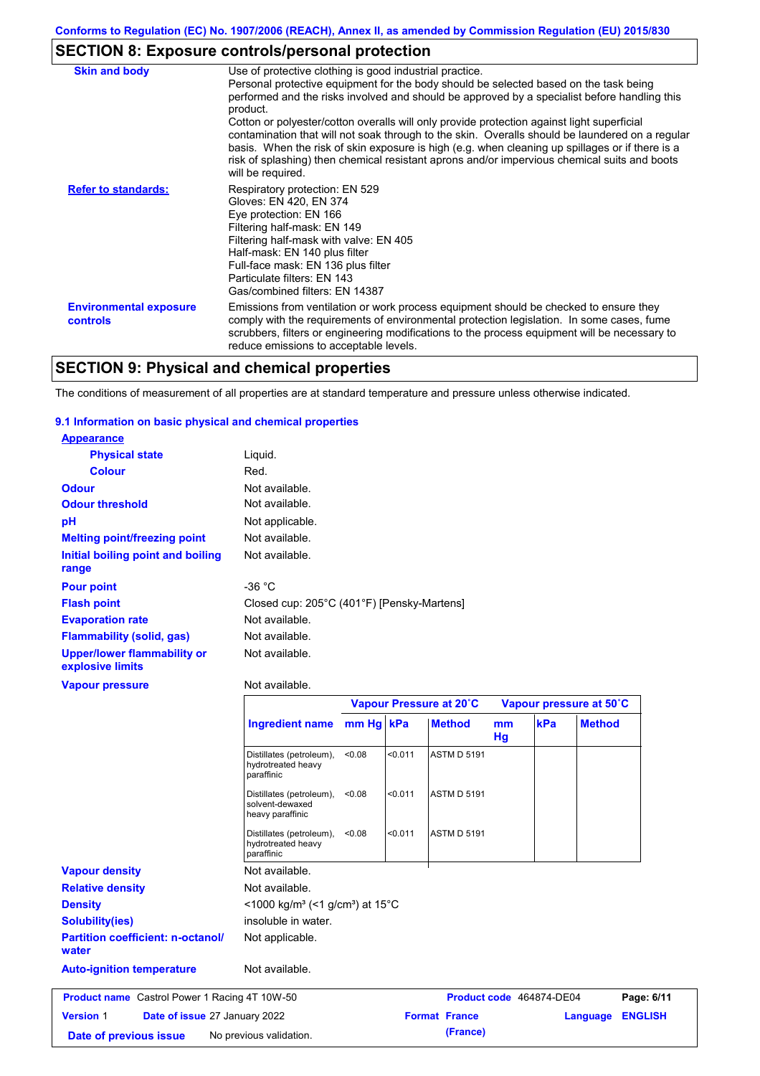# **SECTION 8: Exposure controls/personal protection**

| <b>Skin and body</b>                             | Use of protective clothing is good industrial practice.<br>Personal protective equipment for the body should be selected based on the task being<br>performed and the risks involved and should be approved by a specialist before handling this<br>product.<br>Cotton or polyester/cotton overalls will only provide protection against light superficial<br>contamination that will not soak through to the skin. Overalls should be laundered on a regular<br>basis. When the risk of skin exposure is high (e.g. when cleaning up spillages or if there is a<br>risk of splashing) then chemical resistant aprons and/or impervious chemical suits and boots<br>will be required. |
|--------------------------------------------------|---------------------------------------------------------------------------------------------------------------------------------------------------------------------------------------------------------------------------------------------------------------------------------------------------------------------------------------------------------------------------------------------------------------------------------------------------------------------------------------------------------------------------------------------------------------------------------------------------------------------------------------------------------------------------------------|
| <b>Refer to standards:</b>                       | Respiratory protection: EN 529<br>Gloves: EN 420, EN 374<br>Eye protection: EN 166<br>Filtering half-mask: EN 149<br>Filtering half-mask with valve: EN 405<br>Half-mask: EN 140 plus filter<br>Full-face mask: EN 136 plus filter<br>Particulate filters: EN 143<br>Gas/combined filters: EN 14387                                                                                                                                                                                                                                                                                                                                                                                   |
| <b>Environmental exposure</b><br><b>controls</b> | Emissions from ventilation or work process equipment should be checked to ensure they<br>comply with the requirements of environmental protection legislation. In some cases, fume<br>scrubbers, filters or engineering modifications to the process equipment will be necessary to<br>reduce emissions to acceptable levels.                                                                                                                                                                                                                                                                                                                                                         |

## **SECTION 9: Physical and chemical properties**

The conditions of measurement of all properties are at standard temperature and pressure unless otherwise indicated.

### **9.1 Information on basic physical and chemical properties**

| <b>Appearance</b>                                      |                                                              |           |         |                         |                      |     |                         |
|--------------------------------------------------------|--------------------------------------------------------------|-----------|---------|-------------------------|----------------------|-----|-------------------------|
| <b>Physical state</b>                                  | Liquid.                                                      |           |         |                         |                      |     |                         |
| <b>Colour</b>                                          | Red.                                                         |           |         |                         |                      |     |                         |
| <b>Odour</b>                                           | Not available.                                               |           |         |                         |                      |     |                         |
| <b>Odour threshold</b>                                 | Not available.                                               |           |         |                         |                      |     |                         |
| pH                                                     | Not applicable.                                              |           |         |                         |                      |     |                         |
| <b>Melting point/freezing point</b>                    | Not available.                                               |           |         |                         |                      |     |                         |
| Initial boiling point and boiling<br>range             | Not available.                                               |           |         |                         |                      |     |                         |
| <b>Pour point</b>                                      | $-36 °C$                                                     |           |         |                         |                      |     |                         |
| <b>Flash point</b>                                     | Closed cup: 205°C (401°F) [Pensky-Martens]                   |           |         |                         |                      |     |                         |
| <b>Evaporation rate</b>                                | Not available.                                               |           |         |                         |                      |     |                         |
| <b>Flammability (solid, gas)</b>                       | Not available.                                               |           |         |                         |                      |     |                         |
| <b>Upper/lower flammability or</b><br>explosive limits | Not available.                                               |           |         |                         |                      |     |                         |
| <b>Vapour pressure</b>                                 | Not available.                                               |           |         |                         |                      |     |                         |
|                                                        |                                                              |           |         | Vapour Pressure at 20°C |                      |     | Vapour pressure at 50°C |
|                                                        | <b>Ingredient name</b>                                       | mm Hg kPa |         | <b>Method</b>           | m <sub>m</sub><br>Hg | kPa | <b>Method</b>           |
|                                                        | Distillates (petroleum),<br>hydrotreated heavy<br>paraffinic | < 0.08    | < 0.011 | <b>ASTM D 5191</b>      |                      |     |                         |
|                                                        | Distillates (petroleum),<br>solvent-dewaxed                  | < 0.08    | < 0.011 | <b>ASTM D 5191</b>      |                      |     |                         |

| <b>Relative density</b><br><b>Density</b>            | Not available.<br>$\leq$ 1000 kg/m <sup>3</sup> (<1 g/cm <sup>3</sup> ) at 15 <sup>°</sup> C |  |                          |          |                |
|------------------------------------------------------|----------------------------------------------------------------------------------------------|--|--------------------------|----------|----------------|
| <b>Solubility(ies)</b>                               | insoluble in water.                                                                          |  |                          |          |                |
| <b>Partition coefficient: n-octanol/</b><br>water    | Not applicable.                                                                              |  |                          |          |                |
| <b>Auto-ignition temperature</b>                     | Not available.                                                                               |  |                          |          |                |
|                                                      |                                                                                              |  | Product code 464874-DE04 |          | Page: 6/11     |
| <b>Product name</b> Castrol Power 1 Racing 4T 10W-50 |                                                                                              |  |                          |          |                |
| <b>Version 1</b><br>Date of issue 27 January 2022    |                                                                                              |  | <b>Format France</b>     | Language | <b>ENGLISH</b> |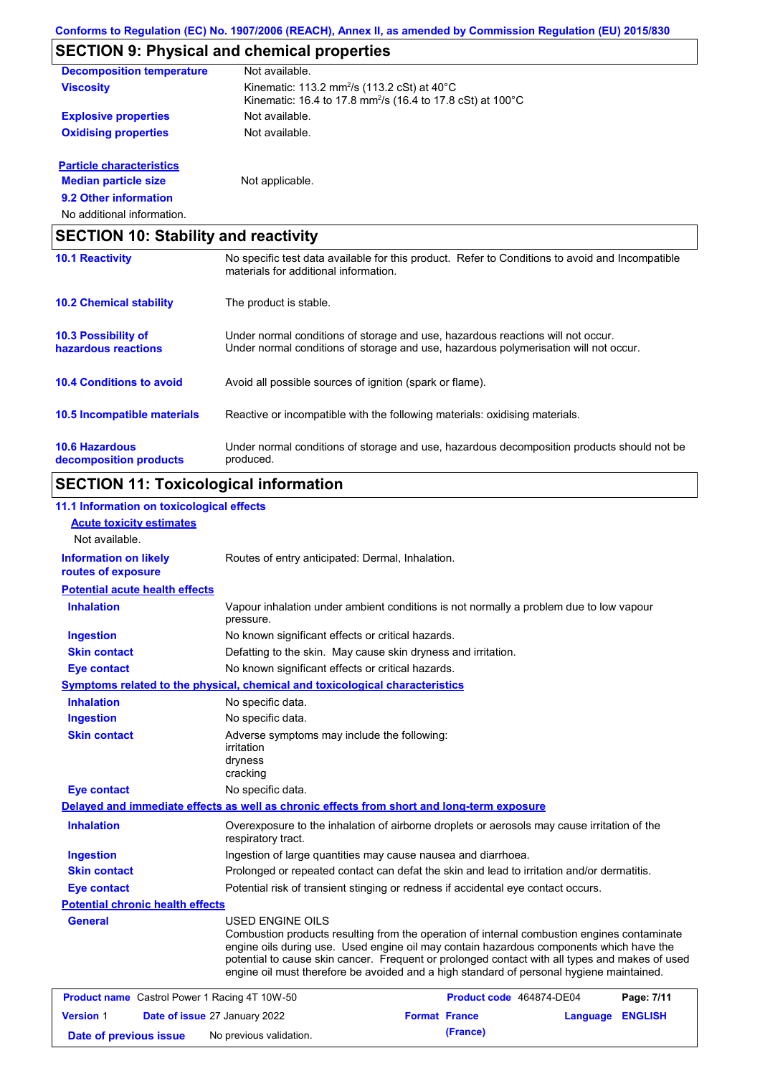# **SECTION 9: Physical and chemical properties**

| <b>Decomposition temperature</b> | Not available.                                                                                                                              |
|----------------------------------|---------------------------------------------------------------------------------------------------------------------------------------------|
| <b>Viscosity</b>                 | Kinematic: 113.2 mm <sup>2</sup> /s (113.2 cSt) at $40^{\circ}$ C<br>Kinematic: 16.4 to 17.8 mm <sup>2</sup> /s (16.4 to 17.8 cSt) at 100°C |
| <b>Explosive properties</b>      | Not available.                                                                                                                              |
| <b>Oxidising properties</b>      | Not available.                                                                                                                              |
| <b>Particle characteristics</b>  |                                                                                                                                             |
| <b>Median particle size</b>      | Not applicable.                                                                                                                             |

**9.2 Other information**

No additional information.

|                                                   | <b>SECTION 10: Stability and reactivity</b>                                                                                                                             |  |  |
|---------------------------------------------------|-------------------------------------------------------------------------------------------------------------------------------------------------------------------------|--|--|
| <b>10.1 Reactivity</b>                            | No specific test data available for this product. Refer to Conditions to avoid and Incompatible<br>materials for additional information.                                |  |  |
| <b>10.2 Chemical stability</b>                    | The product is stable.                                                                                                                                                  |  |  |
| <b>10.3 Possibility of</b><br>hazardous reactions | Under normal conditions of storage and use, hazardous reactions will not occur.<br>Under normal conditions of storage and use, hazardous polymerisation will not occur. |  |  |
| <b>10.4 Conditions to avoid</b>                   | Avoid all possible sources of ignition (spark or flame).                                                                                                                |  |  |
| 10.5 Incompatible materials                       | Reactive or incompatible with the following materials: oxidising materials.                                                                                             |  |  |
| <b>10.6 Hazardous</b><br>decomposition products   | Under normal conditions of storage and use, hazardous decomposition products should not be<br>produced.                                                                 |  |  |

# **SECTION 11: Toxicological information**

| 11.1 Information on toxicological effects            |                                                                                                                                                                                                                                                                                                                                                                                                                 |                                                                                            |                |  |
|------------------------------------------------------|-----------------------------------------------------------------------------------------------------------------------------------------------------------------------------------------------------------------------------------------------------------------------------------------------------------------------------------------------------------------------------------------------------------------|--------------------------------------------------------------------------------------------|----------------|--|
| <b>Acute toxicity estimates</b>                      |                                                                                                                                                                                                                                                                                                                                                                                                                 |                                                                                            |                |  |
| Not available.                                       |                                                                                                                                                                                                                                                                                                                                                                                                                 |                                                                                            |                |  |
| <b>Information on likely</b><br>routes of exposure   | Routes of entry anticipated: Dermal, Inhalation.                                                                                                                                                                                                                                                                                                                                                                |                                                                                            |                |  |
| <b>Potential acute health effects</b>                |                                                                                                                                                                                                                                                                                                                                                                                                                 |                                                                                            |                |  |
| <b>Inhalation</b>                                    | Vapour inhalation under ambient conditions is not normally a problem due to low vapour<br>pressure.                                                                                                                                                                                                                                                                                                             |                                                                                            |                |  |
| <b>Ingestion</b>                                     | No known significant effects or critical hazards.                                                                                                                                                                                                                                                                                                                                                               |                                                                                            |                |  |
| <b>Skin contact</b>                                  |                                                                                                                                                                                                                                                                                                                                                                                                                 | Defatting to the skin. May cause skin dryness and irritation.                              |                |  |
| <b>Eye contact</b>                                   | No known significant effects or critical hazards.                                                                                                                                                                                                                                                                                                                                                               |                                                                                            |                |  |
|                                                      | <b>Symptoms related to the physical, chemical and toxicological characteristics</b>                                                                                                                                                                                                                                                                                                                             |                                                                                            |                |  |
| <b>Inhalation</b>                                    | No specific data.                                                                                                                                                                                                                                                                                                                                                                                               |                                                                                            |                |  |
| <b>Ingestion</b>                                     | No specific data.                                                                                                                                                                                                                                                                                                                                                                                               |                                                                                            |                |  |
| <b>Skin contact</b>                                  | Adverse symptoms may include the following:<br>irritation<br>dryness<br>cracking                                                                                                                                                                                                                                                                                                                                |                                                                                            |                |  |
| <b>Eye contact</b>                                   | No specific data.                                                                                                                                                                                                                                                                                                                                                                                               |                                                                                            |                |  |
|                                                      | Delayed and immediate effects as well as chronic effects from short and long-term exposure                                                                                                                                                                                                                                                                                                                      |                                                                                            |                |  |
| <b>Inhalation</b>                                    | Overexposure to the inhalation of airborne droplets or aerosols may cause irritation of the<br>respiratory tract.                                                                                                                                                                                                                                                                                               |                                                                                            |                |  |
| <b>Ingestion</b>                                     | Ingestion of large quantities may cause nausea and diarrhoea.                                                                                                                                                                                                                                                                                                                                                   |                                                                                            |                |  |
| <b>Skin contact</b>                                  |                                                                                                                                                                                                                                                                                                                                                                                                                 | Prolonged or repeated contact can defat the skin and lead to irritation and/or dermatitis. |                |  |
| <b>Eye contact</b>                                   | Potential risk of transient stinging or redness if accidental eye contact occurs.                                                                                                                                                                                                                                                                                                                               |                                                                                            |                |  |
| <b>Potential chronic health effects</b>              |                                                                                                                                                                                                                                                                                                                                                                                                                 |                                                                                            |                |  |
| <b>General</b>                                       | <b>USED ENGINE OILS</b><br>Combustion products resulting from the operation of internal combustion engines contaminate<br>engine oils during use. Used engine oil may contain hazardous components which have the<br>potential to cause skin cancer. Frequent or prolonged contact with all types and makes of used<br>engine oil must therefore be avoided and a high standard of personal hygiene maintained. |                                                                                            |                |  |
| <b>Product name</b> Castrol Power 1 Racing 4T 10W-50 |                                                                                                                                                                                                                                                                                                                                                                                                                 | Product code 464874-DE04                                                                   | Page: 7/11     |  |
| <b>Version 1</b>                                     | Date of issue 27 January 2022                                                                                                                                                                                                                                                                                                                                                                                   | <b>Format France</b><br>Language                                                           | <b>ENGLISH</b> |  |
| Date of previous issue                               | No previous validation.                                                                                                                                                                                                                                                                                                                                                                                         | (France)                                                                                   |                |  |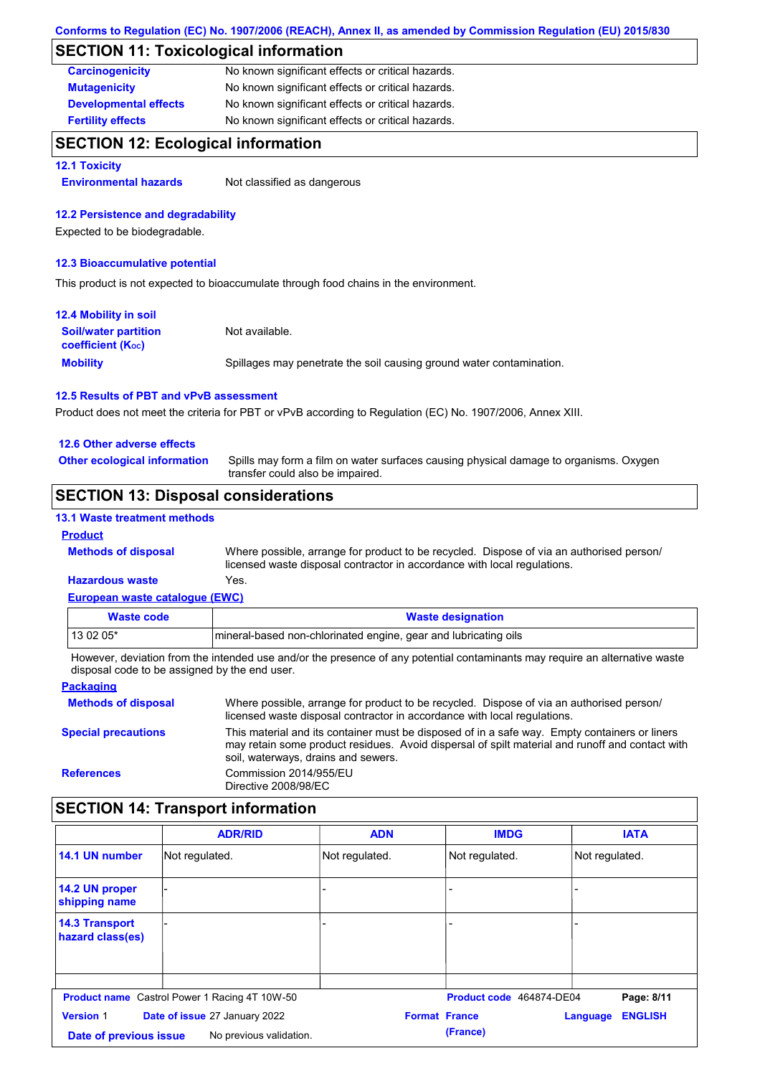## **SECTION 11: Toxicological information**

| <b>Carcinogenicity</b>       | No known significant effects or critical hazards. |
|------------------------------|---------------------------------------------------|
| <b>Mutagenicity</b>          | No known significant effects or critical hazards. |
| <b>Developmental effects</b> | No known significant effects or critical hazards. |
| <b>Fertility effects</b>     | No known significant effects or critical hazards. |

## **SECTION 12: Ecological information**

### **12.1 Toxicity**

**Environmental hazards** Not classified as dangerous

### **12.2 Persistence and degradability**

Expected to be biodegradable.

### **12.3 Bioaccumulative potential**

This product is not expected to bioaccumulate through food chains in the environment.

| <b>12.4 Mobility in soil</b>                                  |                                                                      |
|---------------------------------------------------------------|----------------------------------------------------------------------|
| <b>Soil/water partition</b><br>coefficient (K <sub>oc</sub> ) | Not available.                                                       |
| <b>Mobility</b>                                               | Spillages may penetrate the soil causing ground water contamination. |

### **12.5 Results of PBT and vPvB assessment**

Product does not meet the criteria for PBT or vPvB according to Regulation (EC) No. 1907/2006, Annex XIII.

### **12.6 Other adverse effects**

**Other ecological information**

Spills may form a film on water surfaces causing physical damage to organisms. Oxygen transfer could also be impaired.

## **SECTION 13: Disposal considerations**

### **13.1 Waste treatment methods**

### **Product**

**Methods of disposal**

Where possible, arrange for product to be recycled. Dispose of via an authorised person/ licensed waste disposal contractor in accordance with local regulations.

### **European waste catalogue (EWC) Hazardous waste** Yes.

| Waste code | <b>Waste designation</b>                                        |
|------------|-----------------------------------------------------------------|
| $130205*$  | mineral-based non-chlorinated engine, gear and lubricating oils |

However, deviation from the intended use and/or the presence of any potential contaminants may require an alternative waste disposal code to be assigned by the end user.

#### **Packaging Methods of disposal Special precautions** Where possible, arrange for product to be recycled. Dispose of via an authorised person/ licensed waste disposal contractor in accordance with local regulations. This material and its container must be disposed of in a safe way. Empty containers or liners may retain some product residues. Avoid dispersal of spilt material and runoff and contact with soil, waterways, drains and sewers. **References** Commission 2014/955/EU Directive 2008/98/EC

## **SECTION 14: Transport information**

|                                           | <b>ADR/RID</b>                                       | <b>ADN</b>     | <b>IMDG</b>              | <b>IATA</b>                |
|-------------------------------------------|------------------------------------------------------|----------------|--------------------------|----------------------------|
| 14.1 UN number                            | Not regulated.                                       | Not regulated. | Not regulated.           | Not regulated.             |
| 14.2 UN proper<br>shipping name           |                                                      |                |                          |                            |
| <b>14.3 Transport</b><br>hazard class(es) |                                                      |                |                          |                            |
|                                           |                                                      |                |                          |                            |
|                                           | <b>Product name</b> Castrol Power 1 Racing 4T 10W-50 |                | Product code 464874-DE04 | Page: 8/11                 |
| <b>Version 1</b>                          | Date of issue 27 January 2022                        |                | <b>Format France</b>     | <b>ENGLISH</b><br>Language |
| Date of previous issue                    | No previous validation.                              |                | (France)                 |                            |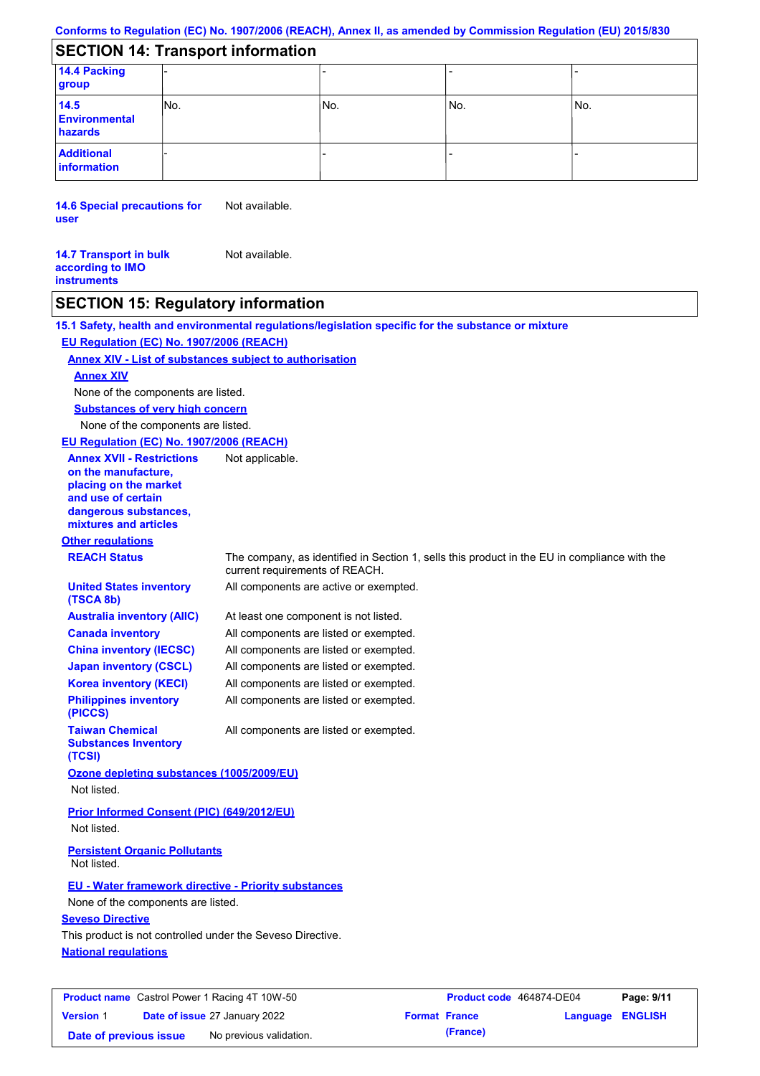## **Conforms to Regulation (EC) No. 1907/2006 (REACH), Annex II, as amended by Commission Regulation (EU) 2015/830**

## **SECTION 14: Transport information**

| 14.4 Packing<br>group                   |     |     |       |      |
|-----------------------------------------|-----|-----|-------|------|
| 14.5<br><b>Environmental</b><br>hazards | No. | No. | l No. | INo. |
| <b>Additional</b><br>information        |     |     |       |      |

**14.6 Special precautions for user** Not available.

**14.7 Transport in bulk according to IMO instruments** Not available.

# **SECTION 15: Regulatory information**

|                                                                                                                                                          | 15.1 Safety, health and environmental regulations/legislation specific for the substance or mixture                            |
|----------------------------------------------------------------------------------------------------------------------------------------------------------|--------------------------------------------------------------------------------------------------------------------------------|
| EU Regulation (EC) No. 1907/2006 (REACH)                                                                                                                 |                                                                                                                                |
| <b>Annex XIV - List of substances subject to authorisation</b>                                                                                           |                                                                                                                                |
| <b>Annex XIV</b>                                                                                                                                         |                                                                                                                                |
| None of the components are listed.                                                                                                                       |                                                                                                                                |
| <b>Substances of very high concern</b>                                                                                                                   |                                                                                                                                |
| None of the components are listed.                                                                                                                       |                                                                                                                                |
| EU Regulation (EC) No. 1907/2006 (REACH)                                                                                                                 |                                                                                                                                |
| <b>Annex XVII - Restrictions</b><br>on the manufacture.<br>placing on the market<br>and use of certain<br>dangerous substances,<br>mixtures and articles | Not applicable.                                                                                                                |
| <b>Other regulations</b>                                                                                                                                 |                                                                                                                                |
| <b>REACH Status</b>                                                                                                                                      | The company, as identified in Section 1, sells this product in the EU in compliance with the<br>current requirements of REACH. |
| <b>United States inventory</b><br>(TSCA 8b)                                                                                                              | All components are active or exempted.                                                                                         |
| <b>Australia inventory (AIIC)</b>                                                                                                                        | At least one component is not listed.                                                                                          |
| <b>Canada inventory</b>                                                                                                                                  | All components are listed or exempted.                                                                                         |
| <b>China inventory (IECSC)</b>                                                                                                                           | All components are listed or exempted.                                                                                         |
| <b>Japan inventory (CSCL)</b>                                                                                                                            | All components are listed or exempted.                                                                                         |
| <b>Korea inventory (KECI)</b>                                                                                                                            | All components are listed or exempted.                                                                                         |
| <b>Philippines inventory</b><br>(PICCS)                                                                                                                  | All components are listed or exempted.                                                                                         |
| <b>Taiwan Chemical</b><br><b>Substances Inventory</b><br>(TCSI)                                                                                          | All components are listed or exempted.                                                                                         |
| Ozone depleting substances (1005/2009/EU)                                                                                                                |                                                                                                                                |
| Not listed.                                                                                                                                              |                                                                                                                                |
| <b>Prior Informed Consent (PIC) (649/2012/EU)</b><br>Not listed.                                                                                         |                                                                                                                                |
| <b>Persistent Organic Pollutants</b><br>Not listed.                                                                                                      |                                                                                                                                |
| EU - Water framework directive - Priority substances                                                                                                     |                                                                                                                                |
| None of the components are listed.                                                                                                                       |                                                                                                                                |
| <b>Seveso Directive</b>                                                                                                                                  |                                                                                                                                |
| This product is not controlled under the Seveso Directive.                                                                                               |                                                                                                                                |
| <b>National requlations</b>                                                                                                                              |                                                                                                                                |
|                                                                                                                                                          |                                                                                                                                |
|                                                                                                                                                          |                                                                                                                                |

| <b>Product name</b> Castrol Power 1 Racing 4T 10W-50 |  | Product code 464874-DE04             |                      | Page: 9/11 |                         |  |
|------------------------------------------------------|--|--------------------------------------|----------------------|------------|-------------------------|--|
| <b>Version 1</b>                                     |  | <b>Date of issue 27 January 2022</b> | <b>Format France</b> |            | <b>Language ENGLISH</b> |  |
| Date of previous issue                               |  | No previous validation.              |                      | (France)   |                         |  |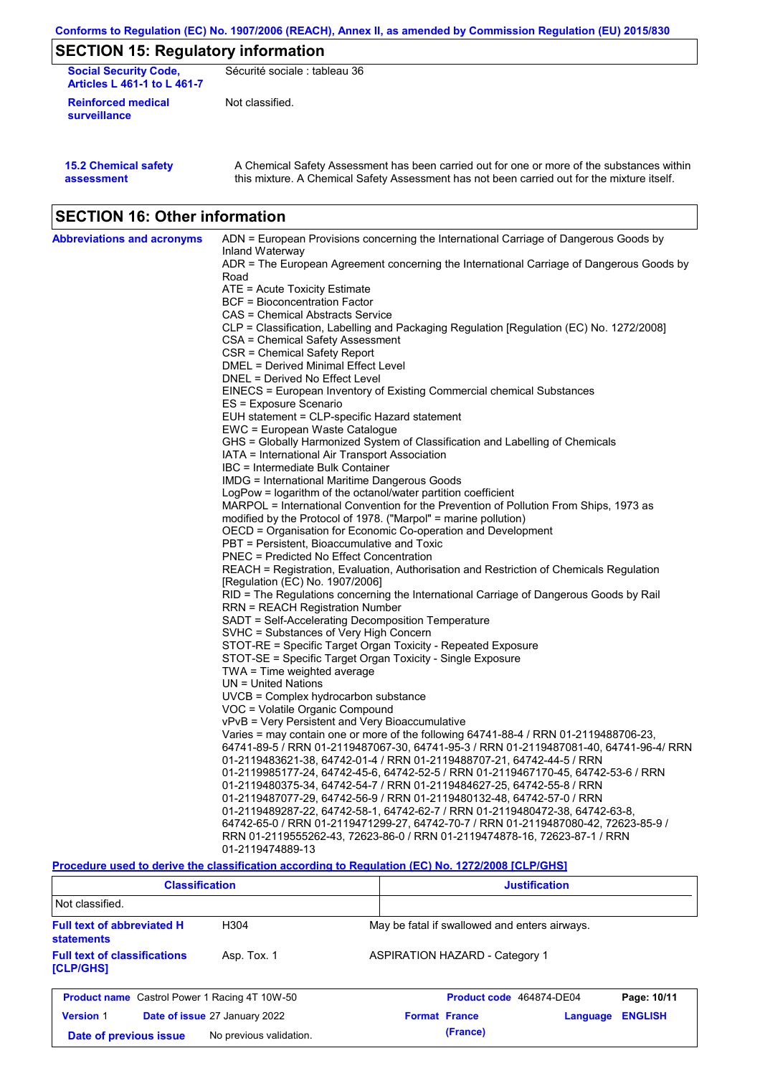| Conforms to Regulation (EC) No. 1907/2006 (REACH), Annex II, as amended by Commission Regulation (EU) 2015/830 |
|----------------------------------------------------------------------------------------------------------------|
|----------------------------------------------------------------------------------------------------------------|

# **SECTION 15: Regulatory information**

| <b>Social Security Code,</b><br><b>Articles L 461-1 to L 461-7</b> | Sécurité sociale : tableau 36                                                                                                                                                                    |
|--------------------------------------------------------------------|--------------------------------------------------------------------------------------------------------------------------------------------------------------------------------------------------|
| <b>Reinforced medical</b><br>surveillance                          | Not classified.                                                                                                                                                                                  |
| <b>15.2 Chemical safety</b><br>. 1                                 | A Chemical Safety Assessment has been carried out for one or more of the substances within<br>this metation. A Observised Ostatic Association and because a semical suited the metations itself. |

this mixture. A Chemical Safety Assessment has not been carried out for the mixture itself.

# **SECTION 16: Other information**

**assessment**

| <b>Abbreviations and acronyms</b> | ADN = European Provisions concerning the International Carriage of Dangerous Goods by    |
|-----------------------------------|------------------------------------------------------------------------------------------|
|                                   | Inland Waterway                                                                          |
|                                   | ADR = The European Agreement concerning the International Carriage of Dangerous Goods by |
|                                   | Road                                                                                     |
|                                   | ATE = Acute Toxicity Estimate                                                            |
|                                   | BCF = Bioconcentration Factor                                                            |
|                                   | CAS = Chemical Abstracts Service                                                         |
|                                   | CLP = Classification, Labelling and Packaging Regulation [Regulation (EC) No. 1272/2008] |
|                                   | CSA = Chemical Safety Assessment                                                         |
|                                   | CSR = Chemical Safety Report                                                             |
|                                   | DMEL = Derived Minimal Effect Level<br>DNEL = Derived No Effect Level                    |
|                                   |                                                                                          |
|                                   | EINECS = European Inventory of Existing Commercial chemical Substances                   |
|                                   | ES = Exposure Scenario<br>EUH statement = CLP-specific Hazard statement                  |
|                                   | EWC = European Waste Catalogue                                                           |
|                                   | GHS = Globally Harmonized System of Classification and Labelling of Chemicals            |
|                                   | IATA = International Air Transport Association                                           |
|                                   | IBC = Intermediate Bulk Container                                                        |
|                                   | IMDG = International Maritime Dangerous Goods                                            |
|                                   | $LogPow = logarithm$ of the octanol/water partition coefficient                          |
|                                   | MARPOL = International Convention for the Prevention of Pollution From Ships, 1973 as    |
|                                   | modified by the Protocol of 1978. ("Marpol" = marine pollution)                          |
|                                   | OECD = Organisation for Economic Co-operation and Development                            |
|                                   | PBT = Persistent, Bioaccumulative and Toxic                                              |
|                                   | <b>PNEC = Predicted No Effect Concentration</b>                                          |
|                                   | REACH = Registration, Evaluation, Authorisation and Restriction of Chemicals Regulation  |
|                                   | [Regulation (EC) No. 1907/2006]                                                          |
|                                   | RID = The Regulations concerning the International Carriage of Dangerous Goods by Rail   |
|                                   | RRN = REACH Registration Number                                                          |
|                                   | SADT = Self-Accelerating Decomposition Temperature                                       |
|                                   | SVHC = Substances of Very High Concern                                                   |
|                                   | STOT-RE = Specific Target Organ Toxicity - Repeated Exposure                             |
|                                   | STOT-SE = Specific Target Organ Toxicity - Single Exposure                               |
|                                   | $TWA = Time weighted average$                                                            |
|                                   | $UN = United Nations$                                                                    |
|                                   | $UVCB = Complex\;hydrocarbon\; substance$                                                |
|                                   | VOC = Volatile Organic Compound                                                          |
|                                   | vPvB = Very Persistent and Very Bioaccumulative                                          |
|                                   | Varies = may contain one or more of the following 64741-88-4 / RRN 01-2119488706-23,     |
|                                   | 64741-89-5 / RRN 01-2119487067-30, 64741-95-3 / RRN 01-2119487081-40, 64741-96-4/ RRN    |
|                                   | 01-2119483621-38, 64742-01-4 / RRN 01-2119488707-21, 64742-44-5 / RRN                    |
|                                   | 01-2119985177-24, 64742-45-6, 64742-52-5 / RRN 01-2119467170-45, 64742-53-6 / RRN        |
|                                   | 01-2119480375-34, 64742-54-7 / RRN 01-2119484627-25, 64742-55-8 / RRN                    |
|                                   | 01-2119487077-29, 64742-56-9 / RRN 01-2119480132-48, 64742-57-0 / RRN                    |
|                                   | 01-2119489287-22, 64742-58-1, 64742-62-7 / RRN 01-2119480472-38, 64742-63-8,             |
|                                   | 64742-65-0 / RRN 01-2119471299-27, 64742-70-7 / RRN 01-2119487080-42, 72623-85-9 /       |
|                                   | RRN 01-2119555262-43, 72623-86-0 / RRN 01-2119474878-16, 72623-87-1 / RRN                |
|                                   | 01-2119474889-13                                                                         |

### **Procedure used to derive the classification according to Regulation (EC) No. 1272/2008 [CLP/GHS]**

| <b>Classification</b>                                  |                               | <b>Justification</b> |                      |                                       |                                               |                |
|--------------------------------------------------------|-------------------------------|----------------------|----------------------|---------------------------------------|-----------------------------------------------|----------------|
| Not classified.                                        |                               |                      |                      |                                       |                                               |                |
| <b>Full text of abbreviated H</b><br><b>statements</b> | H <sub>304</sub>              |                      |                      |                                       | May be fatal if swallowed and enters airways. |                |
| <b>Full text of classifications</b><br>[CLP/GHS]       | Asp. Tox. 1                   |                      |                      | <b>ASPIRATION HAZARD - Category 1</b> |                                               |                |
| <b>Product name</b> Castrol Power 1 Racing 4T 10W-50   |                               |                      |                      | Product code 464874-DE04              |                                               | Page: 10/11    |
| <b>Version 1</b>                                       | Date of issue 27 January 2022 |                      | <b>Format France</b> |                                       | Language                                      | <b>ENGLISH</b> |
| Date of previous issue                                 | No previous validation.       |                      |                      | (France)                              |                                               |                |